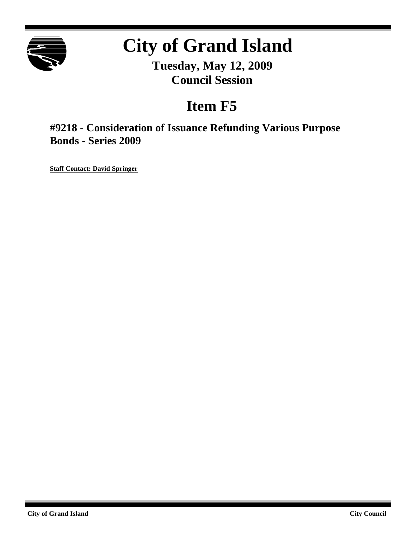

# **City of Grand Island**

**Tuesday, May 12, 2009 Council Session**

## **Item F5**

**#9218 - Consideration of Issuance Refunding Various Purpose Bonds - Series 2009**

**Staff Contact: David Springer**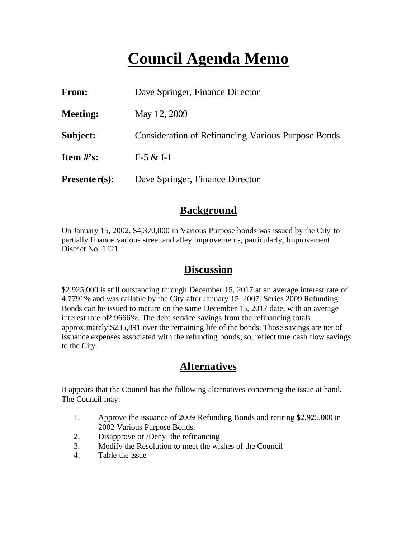## **Council Agenda Memo**

| From:           | Dave Springer, Finance Director                           |
|-----------------|-----------------------------------------------------------|
| <b>Meeting:</b> | May 12, 2009                                              |
| Subject:        | <b>Consideration of Refinancing Various Purpose Bonds</b> |
| Item $\#$ 's:   | $F-5 & 1-1$                                               |
| $Presenter(s):$ | Dave Springer, Finance Director                           |

## **Background**

On January 15, 2002, \$4,370,000 in Various Purpose bonds was issued by the City to partially finance various street and alley improvements, particularly, Improvement District No. 1221.

## **Discussion**

\$2,925,000 is still outstanding through December 15, 2017 at an average interest rate of 4.7791% and was callable by the City after January 15, 2007. Series 2009 Refunding Bonds can be issued to mature on the same December 15, 2017 date, with an average interest rate of2.9666%. The debt service savings from the refinancing totals approximately \$235,891 over the remaining life of the bonds. Those savings are net of issuance expenses associated with the refunding bonds; so, reflect true cash flow savings to the City.

## **Alternatives**

It appears that the Council has the following alternatives concerning the issue at hand. The Council may:

- 1. Approve the issuance of 2009 Refunding Bonds and retiring \$2,925,000 in 2002 Various Purpose Bonds.
- 2. Disapprove or /Deny the refinancing
- 3. Modify the Resolution to meet the wishes of the Council
- 4. Table the issue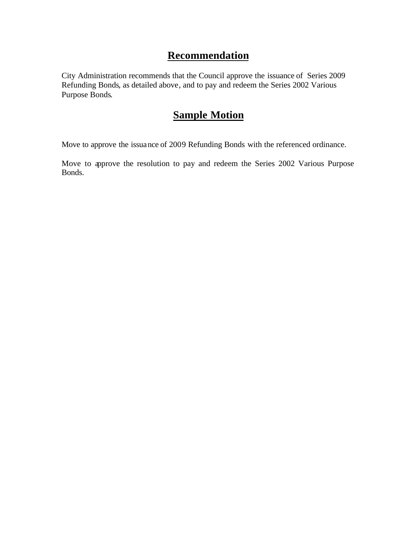## **Recommendation**

City Administration recommends that the Council approve the issuance of Series 2009 Refunding Bonds, as detailed above, and to pay and redeem the Series 2002 Various Purpose Bonds.

## **Sample Motion**

Move to approve the issuance of 2009 Refunding Bonds with the referenced ordinance.

Move to approve the resolution to pay and redeem the Series 2002 Various Purpose Bonds.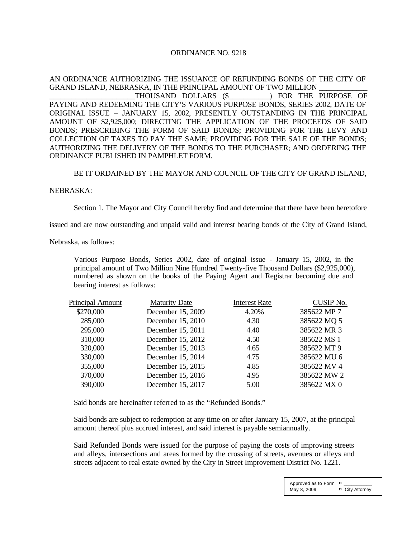#### ORDINANCE NO. 9218

#### AN ORDINANCE AUTHORIZING THE ISSUANCE OF REFUNDING BONDS OF THE CITY OF GRAND ISLAND, NEBRASKA, IN THE PRINCIPAL AMOUNT OF TWO MILLION

THOUSAND DOLLARS (\$  $\qquad \qquad$  ) FOR THE PURPOSE OF PAYING AND REDEEMING THE CITY'S VARIOUS PURPOSE BONDS, SERIES 2002, DATE OF ORIGINAL ISSUE – JANUARY 15, 2002, PRESENTLY OUTSTANDING IN THE PRINCIPAL AMOUNT OF \$2,925,000; DIRECTING THE APPLICATION OF THE PROCEEDS OF SAID BONDS; PRESCRIBING THE FORM OF SAID BONDS; PROVIDING FOR THE LEVY AND COLLECTION OF TAXES TO PAY THE SAME; PROVIDING FOR THE SALE OF THE BONDS; AUTHORIZING THE DELIVERY OF THE BONDS TO THE PURCHASER; AND ORDERING THE ORDINANCE PUBLISHED IN PAMPHLET FORM.

#### BE IT ORDAINED BY THE MAYOR AND COUNCIL OF THE CITY OF GRAND ISLAND,

#### NEBRASKA:

Section 1. The Mayor and City Council hereby find and determine that there have been heretofore

issued and are now outstanding and unpaid valid and interest bearing bonds of the City of Grand Island,

Nebraska, as follows:

Various Purpose Bonds, Series 2002, date of original issue - January 15, 2002, in the principal amount of Two Million Nine Hundred Twenty-five Thousand Dollars (\$2,925,000), numbered as shown on the books of the Paying Agent and Registrar becoming due and bearing interest as follows:

| <b>Maturity Date</b> | <b>Interest Rate</b> | <b>CUSIP No.</b> |
|----------------------|----------------------|------------------|
| December 15, 2009    | 4.20%                | 385622 MP 7      |
| December 15, 2010    | 4.30                 | 385622 MQ 5      |
| December 15, 2011    | 4.40                 | 385622 MR 3      |
| December 15, 2012    | 4.50                 | 385622 MS 1      |
| December 15, 2013    | 4.65                 | 385622 MT 9      |
| December 15, 2014    | 4.75                 | 385622 MU 6      |
| December 15, 2015    | 4.85                 | 385622 MV 4      |
| December 15, 2016    | 4.95                 | 385622 MW 2      |
| December 15, 2017    | 5.00                 | 385622 MX 0      |
|                      |                      |                  |

Said bonds are hereinafter referred to as the "Refunded Bonds."

Said bonds are subject to redemption at any time on or after January 15, 2007, at the principal amount thereof plus accrued interest, and said interest is payable semiannually.

Said Refunded Bonds were issued for the purpose of paying the costs of improving streets and alleys, intersections and areas formed by the crossing of streets, avenues or alleys and streets adjacent to real estate owned by the City in Street Improvement District No. 1221.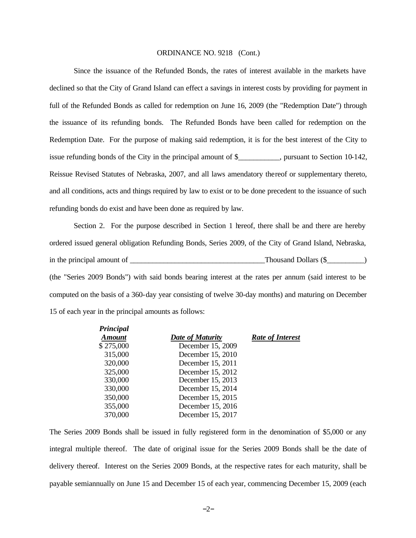Since the issuance of the Refunded Bonds, the rates of interest available in the markets have declined so that the City of Grand Island can effect a savings in interest costs by providing for payment in full of the Refunded Bonds as called for redemption on June 16, 2009 (the "Redemption Date") through the issuance of its refunding bonds. The Refunded Bonds have been called for redemption on the Redemption Date. For the purpose of making said redemption, it is for the best interest of the City to issue refunding bonds of the City in the principal amount of \$\_\_\_\_\_\_\_\_\_\_\_, pursuant to Section 10-142, Reissue Revised Statutes of Nebraska, 2007, and all laws amendatory thereof or supplementary thereto, and all conditions, acts and things required by law to exist or to be done precedent to the issuance of such refunding bonds do exist and have been done as required by law.

Section 2. For the purpose described in Section 1 hereof, there shall be and there are hereby ordered issued general obligation Refunding Bonds, Series 2009, of the City of Grand Island, Nebraska, in the principal amount of \_\_\_\_\_\_\_\_\_\_\_\_\_\_\_\_\_\_\_\_\_\_\_\_\_\_\_\_\_\_\_\_\_\_\_\_Thousand Dollars (\$\_\_\_\_\_\_\_\_\_\_) (the "Series 2009 Bonds") with said bonds bearing interest at the rates per annum (said interest to be computed on the basis of a 360-day year consisting of twelve 30-day months) and maturing on December 15 of each year in the principal amounts as follows:

| Principal     |                         |                         |
|---------------|-------------------------|-------------------------|
| <b>Amount</b> | <b>Date of Maturity</b> | <b>Rate of Interest</b> |
| \$275,000     | December 15, 2009       |                         |
| 315,000       | December 15, 2010       |                         |
| 320,000       | December 15, 2011       |                         |
| 325,000       | December 15, 2012       |                         |
| 330,000       | December 15, 2013       |                         |
| 330,000       | December 15, 2014       |                         |
| 350,000       | December 15, 2015       |                         |
| 355,000       | December 15, 2016       |                         |
| 370,000       | December 15, 2017       |                         |

The Series 2009 Bonds shall be issued in fully registered form in the denomination of \$5,000 or any integral multiple thereof. The date of original issue for the Series 2009 Bonds shall be the date of delivery thereof. Interest on the Series 2009 Bonds, at the respective rates for each maturity, shall be payable semiannually on June 15 and December 15 of each year, commencing December 15, 2009 (each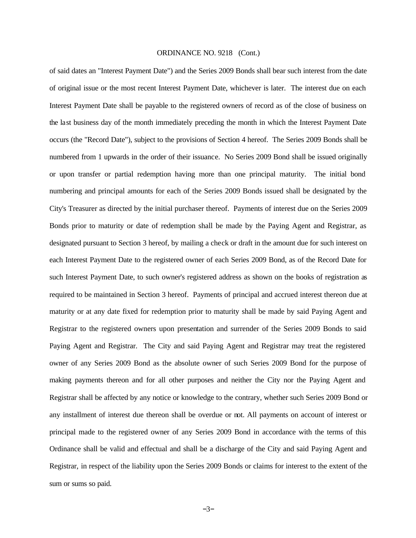of said dates an "Interest Payment Date") and the Series 2009 Bonds shall bear such interest from the date of original issue or the most recent Interest Payment Date, whichever is later. The interest due on each Interest Payment Date shall be payable to the registered owners of record as of the close of business on the last business day of the month immediately preceding the month in which the Interest Payment Date occurs (the "Record Date"), subject to the provisions of Section 4 hereof. The Series 2009 Bonds shall be numbered from 1 upwards in the order of their issuance. No Series 2009 Bond shall be issued originally or upon transfer or partial redemption having more than one principal maturity. The initial bond numbering and principal amounts for each of the Series 2009 Bonds issued shall be designated by the City's Treasurer as directed by the initial purchaser thereof. Payments of interest due on the Series 2009 Bonds prior to maturity or date of redemption shall be made by the Paying Agent and Registrar, as designated pursuant to Section 3 hereof, by mailing a check or draft in the amount due for such interest on each Interest Payment Date to the registered owner of each Series 2009 Bond, as of the Record Date for such Interest Payment Date, to such owner's registered address as shown on the books of registration as required to be maintained in Section 3 hereof. Payments of principal and accrued interest thereon due at maturity or at any date fixed for redemption prior to maturity shall be made by said Paying Agent and Registrar to the registered owners upon presentation and surrender of the Series 2009 Bonds to said Paying Agent and Registrar. The City and said Paying Agent and Registrar may treat the registered owner of any Series 2009 Bond as the absolute owner of such Series 2009 Bond for the purpose of making payments thereon and for all other purposes and neither the City nor the Paying Agent and Registrar shall be affected by any notice or knowledge to the contrary, whether such Series 2009 Bond or any installment of interest due thereon shall be overdue or not. All payments on account of interest or principal made to the registered owner of any Series 2009 Bond in accordance with the terms of this Ordinance shall be valid and effectual and shall be a discharge of the City and said Paying Agent and Registrar, in respect of the liability upon the Series 2009 Bonds or claims for interest to the extent of the sum or sums so paid.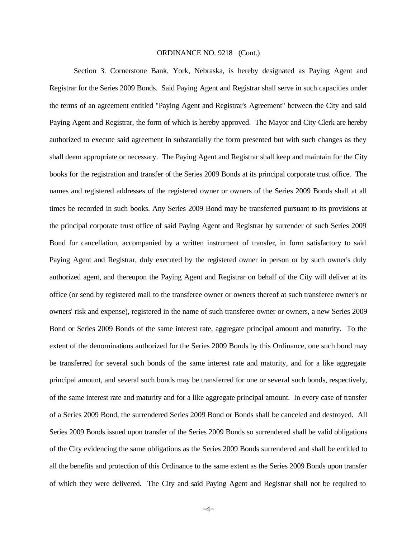Section 3. Cornerstone Bank, York, Nebraska, is hereby designated as Paying Agent and Registrar for the Series 2009 Bonds. Said Paying Agent and Registrar shall serve in such capacities under the terms of an agreement entitled "Paying Agent and Registrar's Agreement" between the City and said Paying Agent and Registrar, the form of which is hereby approved. The Mayor and City Clerk are hereby authorized to execute said agreement in substantially the form presented but with such changes as they shall deem appropriate or necessary. The Paying Agent and Registrar shall keep and maintain for the City books for the registration and transfer of the Series 2009 Bonds at its principal corporate trust office. The names and registered addresses of the registered owner or owners of the Series 2009 Bonds shall at all times be recorded in such books. Any Series 2009 Bond may be transferred pursuant to its provisions at the principal corporate trust office of said Paying Agent and Registrar by surrender of such Series 2009 Bond for cancellation, accompanied by a written instrument of transfer, in form satisfactory to said Paying Agent and Registrar, duly executed by the registered owner in person or by such owner's duly authorized agent, and thereupon the Paying Agent and Registrar on behalf of the City will deliver at its office (or send by registered mail to the transferee owner or owners thereof at such transferee owner's or owners' risk and expense), registered in the name of such transferee owner or owners, a new Series 2009 Bond or Series 2009 Bonds of the same interest rate, aggregate principal amount and maturity. To the extent of the denominations authorized for the Series 2009 Bonds by this Ordinance, one such bond may be transferred for several such bonds of the same interest rate and maturity, and for a like aggregate principal amount, and several such bonds may be transferred for one or several such bonds, respectively, of the same interest rate and maturity and for a like aggregate principal amount. In every case of transfer of a Series 2009 Bond, the surrendered Series 2009 Bond or Bonds shall be canceled and destroyed. All Series 2009 Bonds issued upon transfer of the Series 2009 Bonds so surrendered shall be valid obligations of the City evidencing the same obligations as the Series 2009 Bonds surrendered and shall be entitled to all the benefits and protection of this Ordinance to the same extent as the Series 2009 Bonds upon transfer of which they were delivered. The City and said Paying Agent and Registrar shall not be required to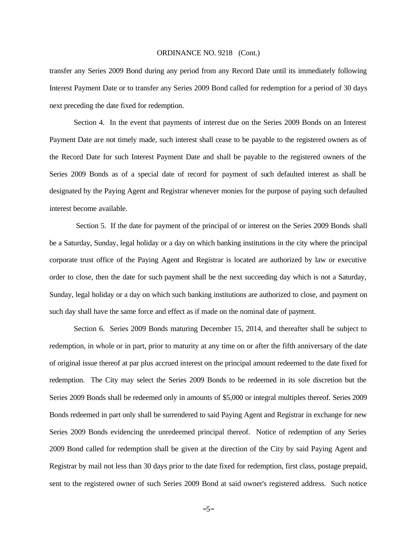transfer any Series 2009 Bond during any period from any Record Date until its immediately following Interest Payment Date or to transfer any Series 2009 Bond called for redemption for a period of 30 days next preceding the date fixed for redemption.

Section 4. In the event that payments of interest due on the Series 2009 Bonds on an Interest Payment Date are not timely made, such interest shall cease to be payable to the registered owners as of the Record Date for such Interest Payment Date and shall be payable to the registered owners of the Series 2009 Bonds as of a special date of record for payment of such defaulted interest as shall be designated by the Paying Agent and Registrar whenever monies for the purpose of paying such defaulted interest become available.

 Section 5. If the date for payment of the principal of or interest on the Series 2009 Bonds shall be a Saturday, Sunday, legal holiday or a day on which banking institutions in the city where the principal corporate trust office of the Paying Agent and Registrar is located are authorized by law or executive order to close, then the date for such payment shall be the next succeeding day which is not a Saturday, Sunday, legal holiday or a day on which such banking institutions are authorized to close, and payment on such day shall have the same force and effect as if made on the nominal date of payment.

Section 6. Series 2009 Bonds maturing December 15, 2014, and thereafter shall be subject to redemption, in whole or in part, prior to maturity at any time on or after the fifth anniversary of the date of original issue thereof at par plus accrued interest on the principal amount redeemed to the date fixed for redemption. The City may select the Series 2009 Bonds to be redeemed in its sole discretion but the Series 2009 Bonds shall be redeemed only in amounts of \$5,000 or integral multiples thereof. Series 2009 Bonds redeemed in part only shall be surrendered to said Paying Agent and Registrar in exchange for new Series 2009 Bonds evidencing the unredeemed principal thereof. Notice of redemption of any Series 2009 Bond called for redemption shall be given at the direction of the City by said Paying Agent and Registrar by mail not less than 30 days prior to the date fixed for redemption, first class, postage prepaid, sent to the registered owner of such Series 2009 Bond at said owner's registered address. Such notice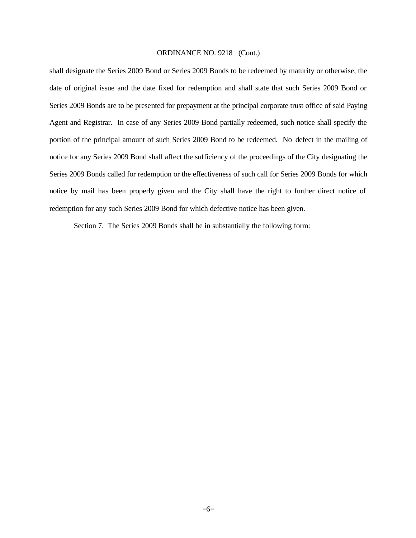shall designate the Series 2009 Bond or Series 2009 Bonds to be redeemed by maturity or otherwise, the date of original issue and the date fixed for redemption and shall state that such Series 2009 Bond or Series 2009 Bonds are to be presented for prepayment at the principal corporate trust office of said Paying Agent and Registrar. In case of any Series 2009 Bond partially redeemed, such notice shall specify the portion of the principal amount of such Series 2009 Bond to be redeemed. No defect in the mailing of notice for any Series 2009 Bond shall affect the sufficiency of the proceedings of the City designating the Series 2009 Bonds called for redemption or the effectiveness of such call for Series 2009 Bonds for which notice by mail has been properly given and the City shall have the right to further direct notice of redemption for any such Series 2009 Bond for which defective notice has been given.

Section 7. The Series 2009 Bonds shall be in substantially the following form: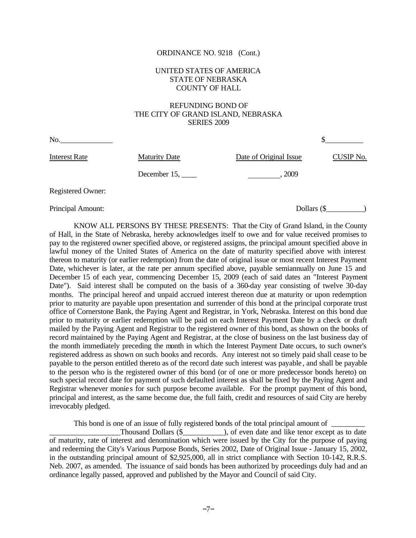#### UNITED STATES OF AMERICA STATE OF NEBRASKA COUNTY OF HALL

#### REFUNDING BOND OF THE CITY OF GRAND ISLAND, NEBRASKA SERIES 2009

| No.               |                      |                        |           |
|-------------------|----------------------|------------------------|-----------|
| Interest Rate     | <b>Maturity Date</b> | Date of Original Issue | CUSIP No. |
|                   | December $15, \_\_$  | 2009                   |           |
| Registered Owner: |                      |                        |           |

Principal Amount: Dollars (\$  $\qquad \qquad$  Dollars (\$  $\qquad \qquad$  )

KNOW ALL PERSONS BY THESE PRESENTS: That the City of Grand Island, in the County of Hall, in the State of Nebraska, hereby acknowledges itself to owe and for value received promises to pay to the registered owner specified above, or registered assigns, the principal amount specified above in lawful money of the United States of America on the date of maturity specified above with interest thereon to maturity (or earlier redemption) from the date of original issue or most recent Interest Payment Date, whichever is later, at the rate per annum specified above, payable semiannually on June 15 and December 15 of each year, commencing December 15, 2009 (each of said dates an "Interest Payment Date"). Said interest shall be computed on the basis of a 360-day year consisting of twelve 30-day months. The principal hereof and unpaid accrued interest thereon due at maturity or upon redemption prior to maturity are payable upon presentation and surrender of this bond at the principal corporate trust office of Cornerstone Bank, the Paying Agent and Registrar, in York, Nebraska. Interest on this bond due prior to maturity or earlier redemption will be paid on each Interest Payment Date by a check or draft mailed by the Paying Agent and Registrar to the registered owner of this bond, as shown on the books of record maintained by the Paying Agent and Registrar, at the close of business on the last business day of the month immediately preceding the month in which the Interest Payment Date occurs, to such owner's registered address as shown on such books and records. Any interest not so timely paid shall cease to be payable to the person entitled thereto as of the record date such interest was payable , and shall be payable to the person who is the registered owner of this bond (or of one or more predecessor bonds hereto) on such special record date for payment of such defaulted interest as shall be fixed by the Paying Agent and Registrar whenever monie s for such purpose become available. For the prompt payment of this bond, principal and interest, as the same become due, the full faith, credit and resources of said City are hereby irrevocably pledged.

This bond is one of an issue of fully registered bonds of the total principal amount of \_\_\_\_\_\_\_\_\_

Thousand Dollars (\$  $\qquad \qquad$  ), of even date and like tenor except as to date of maturity, rate of interest and denomination which were issued by the City for the purpose of paying and redeeming the City's Various Purpose Bonds, Series 2002, Date of Original Issue - January 15, 2002, in the outstanding principal amount of \$2,925,000, all in strict compliance with Section 10-142, R.R.S. Neb. 2007, as amended. The issuance of said bonds has been authorized by proceedings duly had and an ordinance legally passed, approved and published by the Mayor and Council of said City.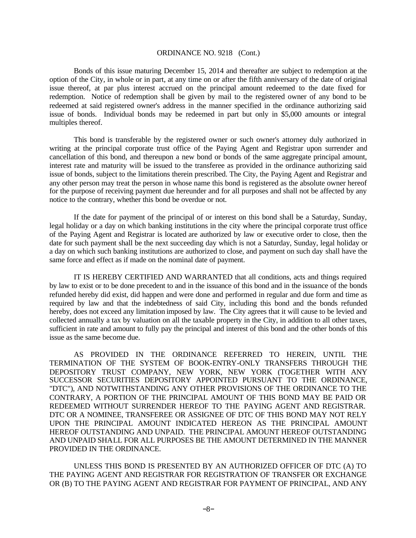Bonds of this issue maturing December 15, 2014 and thereafter are subject to redemption at the option of the City, in whole or in part, at any time on or after the fifth anniversary of the date of original issue thereof, at par plus interest accrued on the principal amount redeemed to the date fixed for redemption. Notice of redemption shall be given by mail to the registered owner of any bond to be redeemed at said registered owner's address in the manner specified in the ordinance authorizing said issue of bonds. Individual bonds may be redeemed in part but only in \$5,000 amounts or integral multiples thereof.

This bond is transferable by the registered owner or such owner's attorney duly authorized in writing at the principal corporate trust office of the Paying Agent and Registrar upon surrender and cancellation of this bond, and thereupon a new bond or bonds of the same aggregate principal amount, interest rate and maturity will be issued to the transferee as provided in the ordinance authorizing said issue of bonds, subject to the limitations therein prescribed. The City, the Paying Agent and Registrar and any other person may treat the person in whose name this bond is registered as the absolute owner hereof for the purpose of receiving payment due hereunder and for all purposes and shall not be affected by any notice to the contrary, whether this bond be overdue or not.

If the date for payment of the principal of or interest on this bond shall be a Saturday, Sunday, legal holiday or a day on which banking institutions in the city where the principal corporate trust office of the Paying Agent and Registrar is located are authorized by law or executive order to close, then the date for such payment shall be the next succeeding day which is not a Saturday, Sunday, legal holiday or a day on which such banking institutions are authorized to close, and payment on such day shall have the same force and effect as if made on the nominal date of payment.

IT IS HEREBY CERTIFIED AND WARRANTED that all conditions, acts and things required by law to exist or to be done precedent to and in the issuance of this bond and in the issuance of the bonds refunded hereby did exist, did happen and were done and performed in regular and due form and time as required by law and that the indebtedness of said City, including this bond and the bonds refunded hereby, does not exceed any limitation imposed by law. The City agrees that it will cause to be levied and collected annually a tax by valuation on all the taxable property in the City, in addition to all other taxes, sufficient in rate and amount to fully pay the principal and interest of this bond and the other bonds of this issue as the same become due.

AS PROVIDED IN THE ORDINANCE REFERRED TO HEREIN, UNTIL THE TERMINATION OF THE SYSTEM OF BOOK-ENTRY-ONLY TRANSFERS THROUGH THE DEPOSITORY TRUST COMPANY, NEW YORK, NEW YORK (TOGETHER WITH ANY SUCCESSOR SECURITIES DEPOSITORY APPOINTED PURSUANT TO THE ORDINANCE, "DTC"), AND NOTWITHSTANDING ANY OTHER PROVISIONS OF THE ORDINANCE TO THE CONTRARY, A PORTION OF THE PRINCIPAL AMOUNT OF THIS BOND MAY BE PAID OR REDEEMED WITHOUT SURRENDER HEREOF TO THE PAYING AGENT AND REGISTRAR. DTC OR A NOMINEE, TRANSFEREE OR ASSIGNEE OF DTC OF THIS BOND MAY NOT RELY UPON THE PRINCIPAL AMOUNT INDICATED HEREON AS THE PRINCIPAL AMOUNT HEREOF OUTSTANDING AND UNPAID. THE PRINCIPAL AMOUNT HEREOF OUTSTANDING AND UNPAID SHALL FOR ALL PURPOSES BE THE AMOUNT DETERMINED IN THE MANNER PROVIDED IN THE ORDINANCE.

UNLESS THIS BOND IS PRESENTED BY AN AUTHORIZED OFFICER OF DTC (A) TO THE PAYING AGENT AND REGISTRAR FOR REGISTRATION OF TRANSFER OR EXCHANGE OR (B) TO THE PAYING AGENT AND REGISTRAR FOR PAYMENT OF PRINCIPAL, AND ANY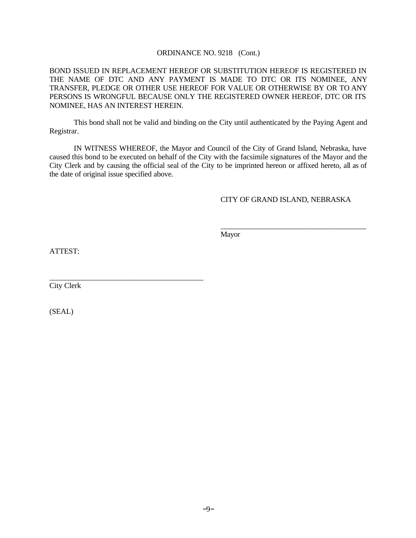BOND ISSUED IN REPLACEMENT HEREOF OR SUBSTITUTION HEREOF IS REGISTERED IN THE NAME OF DTC AND ANY PAYMENT IS MADE TO DTC OR ITS NOMINEE, ANY TRANSFER, PLEDGE OR OTHER USE HEREOF FOR VALUE OR OTHERWISE BY OR TO ANY PERSONS IS WRONGFUL BECAUSE ONLY THE REGISTERED OWNER HEREOF, DTC OR ITS NOMINEE, HAS AN INTEREST HEREIN.

This bond shall not be valid and binding on the City until authenticated by the Paying Agent and Registrar.

IN WITNESS WHEREOF, the Mayor and Council of the City of Grand Island, Nebraska, have caused this bond to be executed on behalf of the City with the facsimile signatures of the Mayor and the City Clerk and by causing the official seal of the City to be imprinted hereon or affixed hereto, all as of the date of original issue specified above.

#### CITY OF GRAND ISLAND, NEBRASKA

\_\_\_\_\_\_\_\_\_\_\_\_\_\_\_\_\_\_\_\_\_\_\_\_\_\_\_\_\_\_\_\_\_\_\_\_\_\_\_

Mayor

ATTEST:

City Clerk

\_\_\_\_\_\_\_\_\_\_\_\_\_\_\_\_\_\_\_\_\_\_\_\_\_\_\_\_\_\_\_\_\_\_\_\_\_\_\_\_\_

(SEAL)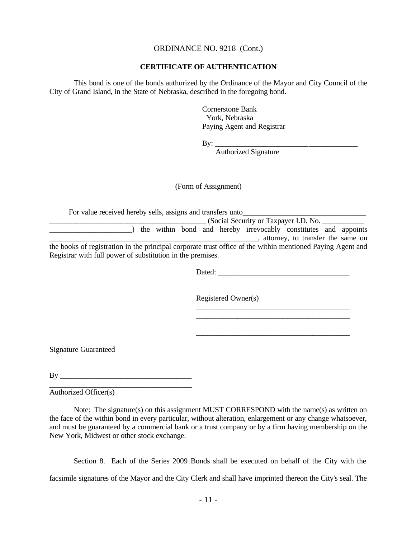#### **CERTIFICATE OF AUTHENTICATION**

This bond is one of the bonds authorized by the Ordinance of the Mayor and City Council of the City of Grand Island, in the State of Nebraska, described in the foregoing bond.

> Cornerstone Bank York, Nebraska Paying Agent and Registrar

By:  $\mathbf{Q}$ 

Authorized Signature

(Form of Assignment)

For value received hereby sells, assigns and transfers unto

|                                                                                                            |  |  |  |  |  | the within bond and hereby irrevocably constitutes and appoints |                                   |  |
|------------------------------------------------------------------------------------------------------------|--|--|--|--|--|-----------------------------------------------------------------|-----------------------------------|--|
|                                                                                                            |  |  |  |  |  |                                                                 | attorney, to transfer the same on |  |
| the books of registration in the principal corporate trust office of the within mentioned Paying Agent and |  |  |  |  |  |                                                                 |                                   |  |
| Registrar with full power of substitution in the premises.                                                 |  |  |  |  |  |                                                                 |                                   |  |

Dated:

Registered Owner(s)

\_\_\_\_\_\_\_\_\_\_\_\_\_\_\_\_\_\_\_\_\_\_\_\_\_\_\_\_\_\_\_\_\_\_\_\_\_\_\_\_\_ \_\_\_\_\_\_\_\_\_\_\_\_\_\_\_\_\_\_\_\_\_\_\_\_\_\_\_\_\_\_\_\_\_\_\_\_\_\_\_\_\_

\_\_\_\_\_\_\_\_\_\_\_\_\_\_\_\_\_\_\_\_\_\_\_\_\_\_\_\_\_\_\_\_\_\_\_\_\_\_\_\_\_

Signature Guaranteed

By \_\_\_\_\_\_\_\_\_\_\_\_\_\_\_\_\_\_\_\_\_\_\_\_\_\_\_\_\_\_\_\_\_\_\_ \_\_\_\_\_\_\_\_\_\_\_\_\_\_\_\_\_\_\_\_\_\_\_\_\_\_\_\_\_\_\_\_\_\_\_\_\_\_

Authorized Officer(s)

Note: The signature(s) on this assignment MUST CORRESPOND with the name(s) as written on the face of the within bond in every particular, without alteration, enlargement or any change whatsoever, and must be guaranteed by a commercial bank or a trust company or by a firm having membership on the New York, Midwest or other stock exchange.

Section 8. Each of the Series 2009 Bonds shall be executed on behalf of the City with the facsimile signatures of the Mayor and the City Clerk and shall have imprinted thereon the City's seal. The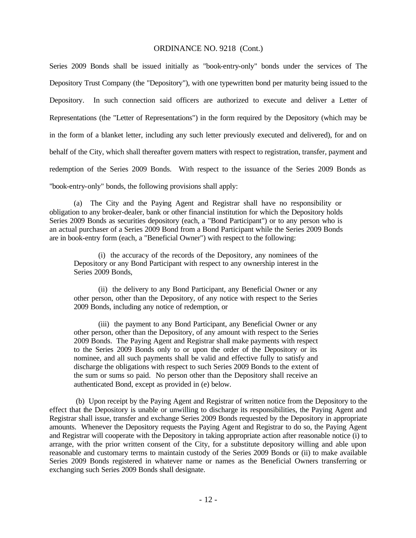Series 2009 Bonds shall be issued initially as "book-entry-only" bonds under the services of The Depository Trust Company (the "Depository"), with one typewritten bond per maturity being issued to the Depository. In such connection said officers are authorized to execute and deliver a Letter of Representations (the "Letter of Representations") in the form required by the Depository (which may be in the form of a blanket letter, including any such letter previously executed and delivered), for and on behalf of the City, which shall thereafter govern matters with respect to registration, transfer, payment and redemption of the Series 2009 Bonds. With respect to the issuance of the Series 2009 Bonds as "book-entry-only" bonds, the following provisions shall apply:

(a) The City and the Paying Agent and Registrar shall have no responsibility or obligation to any broker-dealer, bank or other financial institution for which the Depository holds Series 2009 Bonds as securities depository (each, a "Bond Participant") or to any person who is an actual purchaser of a Series 2009 Bond from a Bond Participant while the Series 2009 Bonds are in book-entry form (each, a "Beneficial Owner") with respect to the following:

 (i) the accuracy of the records of the Depository, any nominees of the Depository or any Bond Participant with respect to any ownership interest in the Series 2009 Bonds,

 (ii) the delivery to any Bond Participant, any Beneficial Owner or any other person, other than the Depository, of any notice with respect to the Series 2009 Bonds, including any notice of redemption, or

 (iii) the payment to any Bond Participant, any Beneficial Owner or any other person, other than the Depository, of any amount with respect to the Series 2009 Bonds. The Paying Agent and Registrar shall make payments with respect to the Series 2009 Bonds only to or upon the order of the Depository or its nominee, and all such payments shall be valid and effective fully to satisfy and discharge the obligations with respect to such Series 2009 Bonds to the extent of the sum or sums so paid. No person other than the Depository shall receive an authenticated Bond, except as provided in (e) below.

 (b) Upon receipt by the Paying Agent and Registrar of written notice from the Depository to the effect that the Depository is unable or unwilling to discharge its responsibilities, the Paying Agent and Registrar shall issue, transfer and exchange Series 2009 Bonds requested by the Depository in appropriate amounts. Whenever the Depository requests the Paying Agent and Registrar to do so, the Paying Agent and Registrar will cooperate with the Depository in taking appropriate action after reasonable notice (i) to arrange, with the prior written consent of the City, for a substitute depository willing and able upon reasonable and customary terms to maintain custody of the Series 2009 Bonds or (ii) to make available Series 2009 Bonds registered in whatever name or names as the Beneficial Owners transferring or exchanging such Series 2009 Bonds shall designate.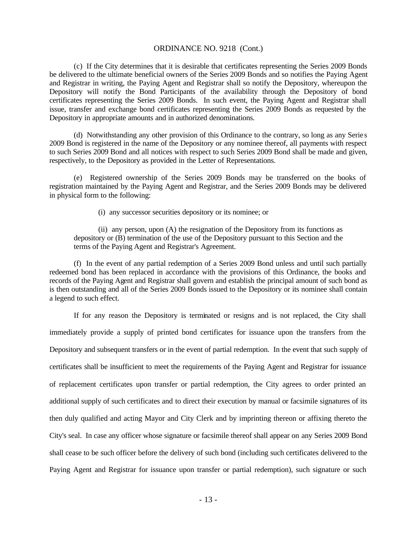(c) If the City determines that it is desirable that certificates representing the Series 2009 Bonds be delivered to the ultimate beneficial owners of the Series 2009 Bonds and so notifies the Paying Agent and Registrar in writing, the Paying Agent and Registrar shall so notify the Depository, whereupon the Depository will notify the Bond Participants of the availability through the Depository of bond certificates representing the Series 2009 Bonds. In such event, the Paying Agent and Registrar shall issue, transfer and exchange bond certificates representing the Series 2009 Bonds as requested by the Depository in appropriate amounts and in authorized denominations.

(d) Notwithstanding any other provision of this Ordinance to the contrary, so long as any Serie s 2009 Bond is registered in the name of the Depository or any nominee thereof, all payments with respect to such Series 2009 Bond and all notices with respect to such Series 2009 Bond shall be made and given, respectively, to the Depository as provided in the Letter of Representations.

(e) Registered ownership of the Series 2009 Bonds may be transferred on the books of registration maintained by the Paying Agent and Registrar, and the Series 2009 Bonds may be delivered in physical form to the following:

(i) any successor securities depository or its nominee; or

(ii) any person, upon (A) the resignation of the Depository from its functions as depository or (B) termination of the use of the Depository pursuant to this Section and the terms of the Paying Agent and Registrar's Agreement.

(f) In the event of any partial redemption of a Series 2009 Bond unless and until such partially redeemed bond has been replaced in accordance with the provisions of this Ordinance, the books and records of the Paying Agent and Registrar shall govern and establish the principal amount of such bond as is then outstanding and all of the Series 2009 Bonds issued to the Depository or its nominee shall contain a legend to such effect.

If for any reason the Depository is terminated or resigns and is not replaced, the City shall immediately provide a supply of printed bond certificates for issuance upon the transfers from the Depository and subsequent transfers or in the event of partial redemption. In the event that such supply of certificates shall be insufficient to meet the requirements of the Paying Agent and Registrar for issuance of replacement certificates upon transfer or partial redemption, the City agrees to order printed an additional supply of such certificates and to direct their execution by manual or facsimile signatures of its then duly qualified and acting Mayor and City Clerk and by imprinting thereon or affixing thereto the City's seal. In case any officer whose signature or facsimile thereof shall appear on any Series 2009 Bond shall cease to be such officer before the delivery of such bond (including such certificates delivered to the Paying Agent and Registrar for issuance upon transfer or partial redemption), such signature or such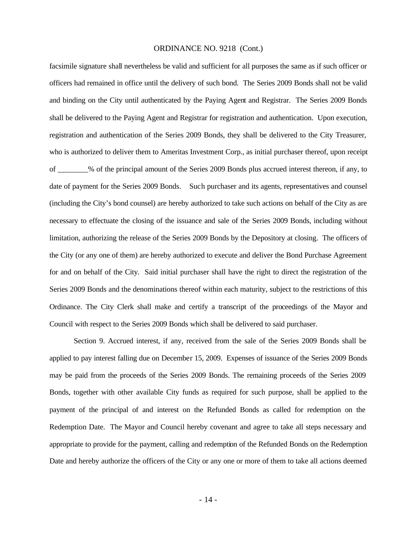facsimile signature shall nevertheless be valid and sufficient for all purposes the same as if such officer or officers had remained in office until the delivery of such bond. The Series 2009 Bonds shall not be valid and binding on the City until authenticated by the Paying Agent and Registrar. The Series 2009 Bonds shall be delivered to the Paying Agent and Registrar for registration and authentication. Upon execution, registration and authentication of the Series 2009 Bonds, they shall be delivered to the City Treasurer, who is authorized to deliver them to Ameritas Investment Corp., as initial purchaser thereof, upon receipt of \_\_\_\_\_\_\_\_% of the principal amount of the Series 2009 Bonds plus accrued interest thereon, if any, to date of payment for the Series 2009 Bonds. Such purchaser and its agents, representatives and counsel (including the City's bond counsel) are hereby authorized to take such actions on behalf of the City as are necessary to effectuate the closing of the issuance and sale of the Series 2009 Bonds, including without limitation, authorizing the release of the Series 2009 Bonds by the Depository at closing. The officers of the City (or any one of them) are hereby authorized to execute and deliver the Bond Purchase Agreement for and on behalf of the City. Said initial purchaser shall have the right to direct the registration of the Series 2009 Bonds and the denominations thereof within each maturity, subject to the restrictions of this Ordinance. The City Clerk shall make and certify a transcript of the proceedings of the Mayor and Council with respect to the Series 2009 Bonds which shall be delivered to said purchaser.

Section 9. Accrued interest, if any, received from the sale of the Series 2009 Bonds shall be applied to pay interest falling due on December 15, 2009. Expenses of issuance of the Series 2009 Bonds may be paid from the proceeds of the Series 2009 Bonds. The remaining proceeds of the Series 2009 Bonds, together with other available City funds as required for such purpose, shall be applied to the payment of the principal of and interest on the Refunded Bonds as called for redemption on the Redemption Date. The Mayor and Council hereby covenant and agree to take all steps necessary and appropriate to provide for the payment, calling and redemption of the Refunded Bonds on the Redemption Date and hereby authorize the officers of the City or any one or more of them to take all actions deemed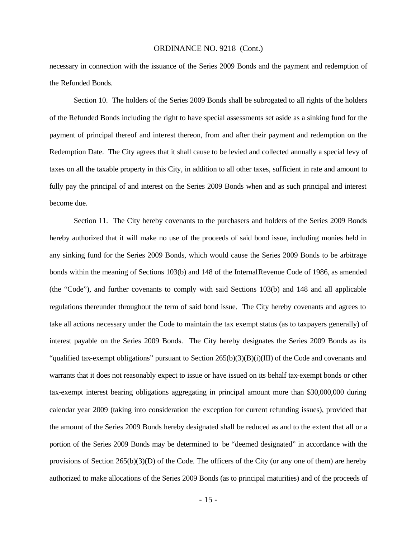necessary in connection with the issuance of the Series 2009 Bonds and the payment and redemption of the Refunded Bonds.

Section 10. The holders of the Series 2009 Bonds shall be subrogated to all rights of the holders of the Refunded Bonds including the right to have special assessments set aside as a sinking fund for the payment of principal thereof and interest thereon, from and after their payment and redemption on the Redemption Date. The City agrees that it shall cause to be levied and collected annually a special levy of taxes on all the taxable property in this City, in addition to all other taxes, sufficient in rate and amount to fully pay the principal of and interest on the Series 2009 Bonds when and as such principal and interest become due.

Section 11. The City hereby covenants to the purchasers and holders of the Series 2009 Bonds hereby authorized that it will make no use of the proceeds of said bond issue, including monies held in any sinking fund for the Series 2009 Bonds, which would cause the Series 2009 Bonds to be arbitrage bonds within the meaning of Sections 103(b) and 148 of the Internal Revenue Code of 1986, as amended (the "Code"), and further covenants to comply with said Sections 103(b) and 148 and all applicable regulations thereunder throughout the term of said bond issue. The City hereby covenants and agrees to take all actions necessary under the Code to maintain the tax exempt status (as to taxpayers generally) of interest payable on the Series 2009 Bonds. The City hereby designates the Series 2009 Bonds as its "qualified tax-exempt obligations" pursuant to Section 265(b)(3)(B)(i)(III) of the Code and covenants and warrants that it does not reasonably expect to issue or have issued on its behalf tax-exempt bonds or other tax-exempt interest bearing obligations aggregating in principal amount more than \$30,000,000 during calendar year 2009 (taking into consideration the exception for current refunding issues), provided that the amount of the Series 2009 Bonds hereby designated shall be reduced as and to the extent that all or a portion of the Series 2009 Bonds may be determined to be "deemed designated" in accordance with the provisions of Section 265(b)(3)(D) of the Code. The officers of the City (or any one of them) are hereby authorized to make allocations of the Series 2009 Bonds (as to principal maturities) and of the proceeds of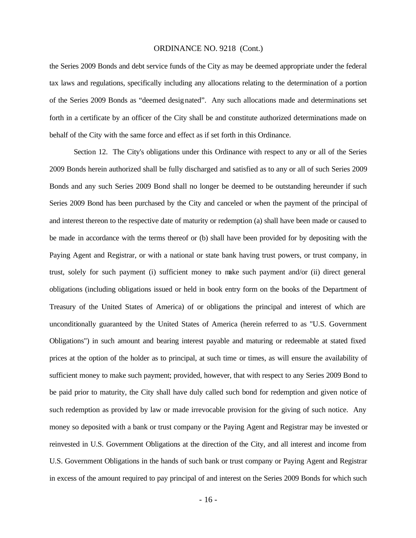the Series 2009 Bonds and debt service funds of the City as may be deemed appropriate under the federal tax laws and regulations, specifically including any allocations relating to the determination of a portion of the Series 2009 Bonds as "deemed designated". Any such allocations made and determinations set forth in a certificate by an officer of the City shall be and constitute authorized determinations made on behalf of the City with the same force and effect as if set forth in this Ordinance.

Section 12. The City's obligations under this Ordinance with respect to any or all of the Series 2009 Bonds herein authorized shall be fully discharged and satisfied as to any or all of such Series 2009 Bonds and any such Series 2009 Bond shall no longer be deemed to be outstanding hereunder if such Series 2009 Bond has been purchased by the City and canceled or when the payment of the principal of and interest thereon to the respective date of maturity or redemption (a) shall have been made or caused to be made in accordance with the terms thereof or (b) shall have been provided for by depositing with the Paying Agent and Registrar, or with a national or state bank having trust powers, or trust company, in trust, solely for such payment (i) sufficient money to make such payment and/or (ii) direct general obligations (including obligations issued or held in book entry form on the books of the Department of Treasury of the United States of America) of or obligations the principal and interest of which are unconditionally guaranteed by the United States of America (herein referred to as "U.S. Government Obligations") in such amount and bearing interest payable and maturing or redeemable at stated fixed prices at the option of the holder as to principal, at such time or times, as will ensure the availability of sufficient money to make such payment; provided, however, that with respect to any Series 2009 Bond to be paid prior to maturity, the City shall have duly called such bond for redemption and given notice of such redemption as provided by law or made irrevocable provision for the giving of such notice. Any money so deposited with a bank or trust company or the Paying Agent and Registrar may be invested or reinvested in U.S. Government Obligations at the direction of the City, and all interest and income from U.S. Government Obligations in the hands of such bank or trust company or Paying Agent and Registrar in excess of the amount required to pay principal of and interest on the Series 2009 Bonds for which such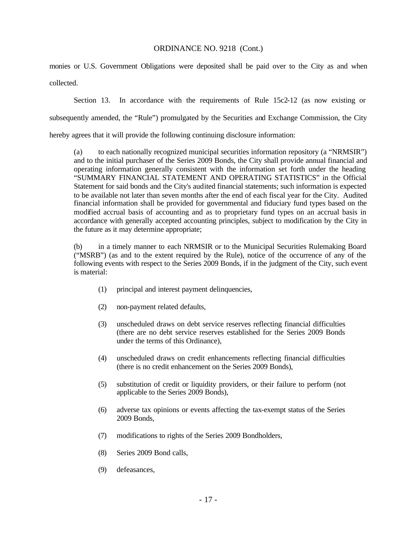monies or U.S. Government Obligations were deposited shall be paid over to the City as and when collected.

Section 13. In accordance with the requirements of Rule 15c2-12 (as now existing or subsequently amended, the "Rule") promulgated by the Securities and Exchange Commission, the City hereby agrees that it will provide the following continuing disclosure information:

(a) to each nationally recognized municipal securities information repository (a "NRMSIR") and to the initial purchaser of the Series 2009 Bonds, the City shall provide annual financial and operating information generally consistent with the information set forth under the heading "SUMMARY FINANCIAL STATEMENT AND OPERATING STATISTICS" in the Official Statement for said bonds and the City's audited financial statements; such information is expected to be available not later than seven months after the end of each fiscal year for the City. Audited financial information shall be provided for governmental and fiduciary fund types based on the modified accrual basis of accounting and as to proprietary fund types on an accrual basis in accordance with generally accepted accounting principles, subject to modification by the City in the future as it may determine appropriate;

(b) in a timely manner to each NRMSIR or to the Municipal Securities Rulemaking Board ("MSRB") (as and to the extent required by the Rule), notice of the occurrence of any of the following events with respect to the Series 2009 Bonds, if in the judgment of the City, such event is material:

- (1) principal and interest payment delinquencies,
- (2) non-payment related defaults,
- (3) unscheduled draws on debt service reserves reflecting financial difficulties (there are no debt service reserves established for the Series 2009 Bonds under the terms of this Ordinance),
- (4) unscheduled draws on credit enhancements reflecting financial difficulties (there is no credit enhancement on the Series 2009 Bonds),
- (5) substitution of credit or liquidity providers, or their failure to perform (not applicable to the Series 2009 Bonds),
- (6) adverse tax opinions or events affecting the tax-exempt status of the Series 2009 Bonds,
- (7) modifications to rights of the Series 2009 Bondholders,
- (8) Series 2009 Bond calls,
- (9) defeasances,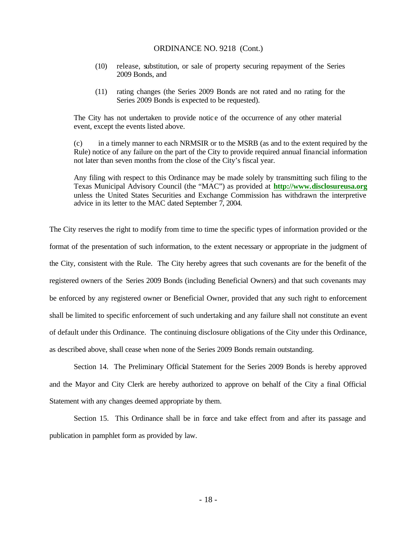- (10) release, substitution, or sale of property securing repayment of the Series 2009 Bonds, and
- (11) rating changes (the Series 2009 Bonds are not rated and no rating for the Series 2009 Bonds is expected to be requested).

The City has not undertaken to provide notic e of the occurrence of any other material event, except the events listed above.

(c) in a timely manner to each NRMSIR or to the MSRB (as and to the extent required by the Rule) notice of any failure on the part of the City to provide required annual financial information not later than seven months from the close of the City's fiscal year.

Any filing with respect to this Ordinance may be made solely by transmitting such filing to the Texas Municipal Advisory Council (the "MAC") as provided at **http://www.disclosureusa.org** unless the United States Securities and Exchange Commission has withdrawn the interpretive advice in its letter to the MAC dated September 7, 2004.

The City reserves the right to modify from time to time the specific types of information provided or the format of the presentation of such information, to the extent necessary or appropriate in the judgment of the City, consistent with the Rule. The City hereby agrees that such covenants are for the benefit of the registered owners of the Series 2009 Bonds (including Beneficial Owners) and that such covenants may be enforced by any registered owner or Beneficial Owner, provided that any such right to enforcement shall be limited to specific enforcement of such undertaking and any failure shall not constitute an event of default under this Ordinance. The continuing disclosure obligations of the City under this Ordinance, as described above, shall cease when none of the Series 2009 Bonds remain outstanding.

Section 14. The Preliminary Official Statement for the Series 2009 Bonds is hereby approved and the Mayor and City Clerk are hereby authorized to approve on behalf of the City a final Official Statement with any changes deemed appropriate by them.

Section 15. This Ordinance shall be in force and take effect from and after its passage and publication in pamphlet form as provided by law.